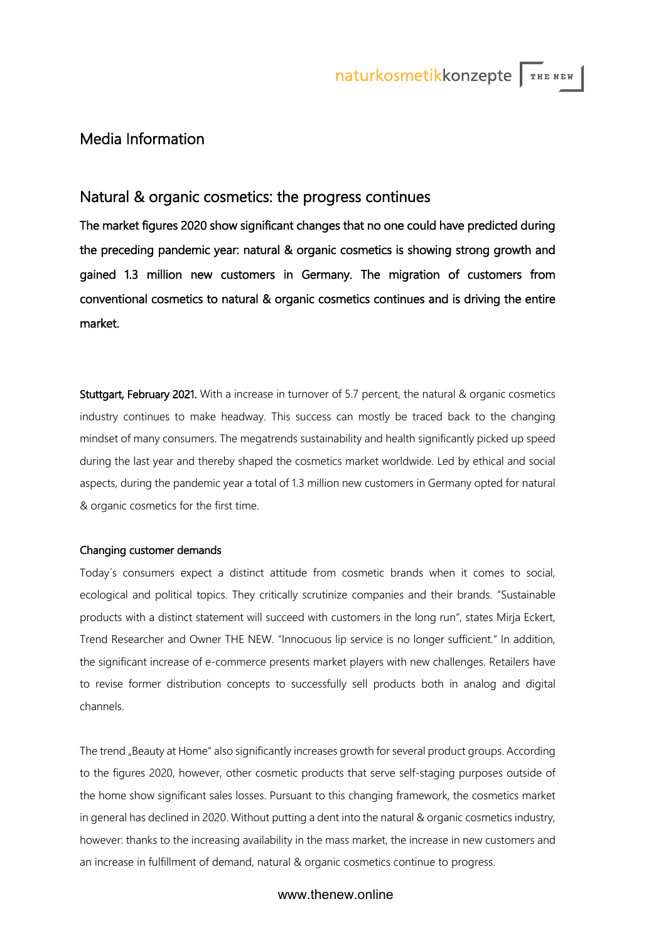# Media Information

## Natural & organic cosmetics: the progress continues

The market figures 2020 show significant changes that no one could have predicted during the preceding pandemic year: natural & organic cosmetics is showing strong growth and gained 1.3 million new customers in Germany. The migration of customers from conventional cosmetics to natural & organic cosmetics continues and is driving the entire market.

Stuttgart, February 2021. With a increase in turnover of 5.7 percent, the natural & organic cosmetics industry continues to make headway. This success can mostly be traced back to the changing mindset of many consumers. The megatrends sustainability and health significantly picked up speed during the last year and thereby shaped the cosmetics market worldwide. Led by ethical and social aspects, during the pandemic year a total of 1.3 million new customers in Germany opted for natural & organic cosmetics for the first time.

### Changing customer demands

Today´s consumers expect a distinct attitude from cosmetic brands when it comes to social, ecological and political topics. They critically scrutinize companies and their brands. "Sustainable products with a distinct statement will succeed with customers in the long run", states Mirja Eckert, Trend Researcher and Owner THE NEW. "Innocuous lip service is no longer sufficient." In addition, the significant increase of e-commerce presents market players with new challenges. Retailers have to revise former distribution concepts to successfully sell products both in analog and digital channels.

The trend "Beauty at Home" also significantly increases growth for several product groups. According to the figures 2020, however, other cosmetic products that serve self-staging purposes outside of the home show significant sales losses. Pursuant to this changing framework, the cosmetics market in general has declined in 2020. Without putting a dent into the natural & organic cosmetics industry, however: thanks to the increasing availability in the mass market, the increase in new customers and an increase in fulfillment of demand, natural & organic cosmetics continue to progress.

## www.thenew.online